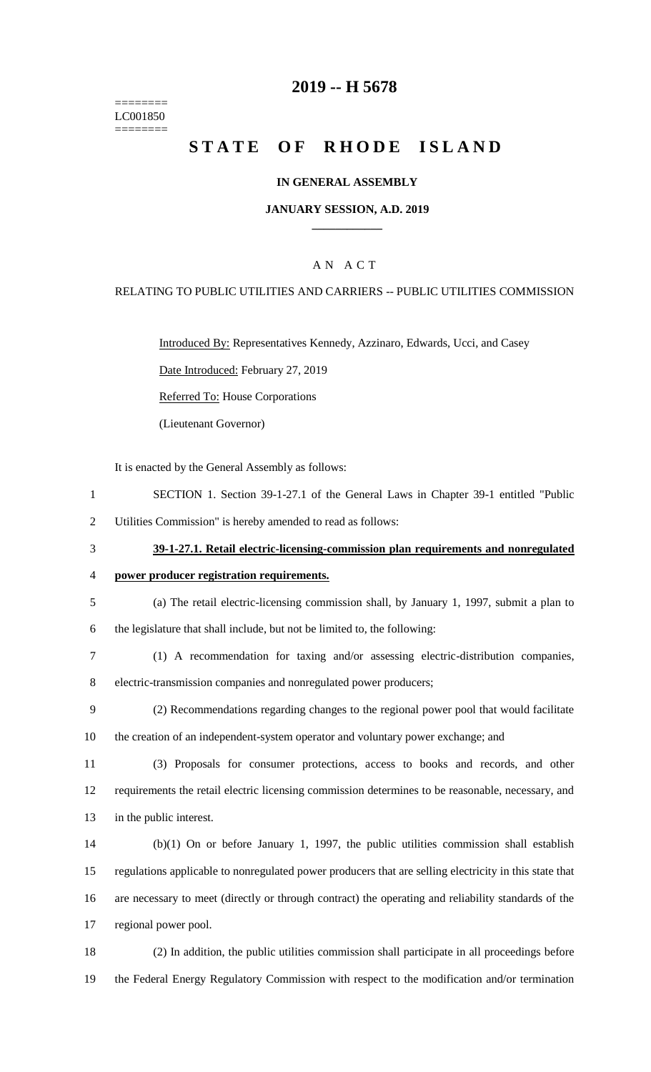======== LC001850 ========

### **2019 -- H 5678**

# **STATE OF RHODE ISLAND**

### **IN GENERAL ASSEMBLY**

#### **JANUARY SESSION, A.D. 2019 \_\_\_\_\_\_\_\_\_\_\_\_**

### A N A C T

#### RELATING TO PUBLIC UTILITIES AND CARRIERS -- PUBLIC UTILITIES COMMISSION

Introduced By: Representatives Kennedy, Azzinaro, Edwards, Ucci, and Casey

Date Introduced: February 27, 2019

Referred To: House Corporations

(Lieutenant Governor)

It is enacted by the General Assembly as follows:

1 SECTION 1. Section 39-1-27.1 of the General Laws in Chapter 39-1 entitled "Public

2 Utilities Commission" is hereby amended to read as follows:

- 3 **39-1-27.1. Retail electric-licensing-commission plan requirements and nonregulated** 
	- 4 **power producer registration requirements.**
	- 5 (a) The retail electric-licensing commission shall, by January 1, 1997, submit a plan to

6 the legislature that shall include, but not be limited to, the following:

- 7 (1) A recommendation for taxing and/or assessing electric-distribution companies, 8 electric-transmission companies and nonregulated power producers;
- 9 (2) Recommendations regarding changes to the regional power pool that would facilitate 10 the creation of an independent-system operator and voluntary power exchange; and
- 11 (3) Proposals for consumer protections, access to books and records, and other 12 requirements the retail electric licensing commission determines to be reasonable, necessary, and 13 in the public interest.
- 14 (b)(1) On or before January 1, 1997, the public utilities commission shall establish 15 regulations applicable to nonregulated power producers that are selling electricity in this state that 16 are necessary to meet (directly or through contract) the operating and reliability standards of the 17 regional power pool.

18 (2) In addition, the public utilities commission shall participate in all proceedings before 19 the Federal Energy Regulatory Commission with respect to the modification and/or termination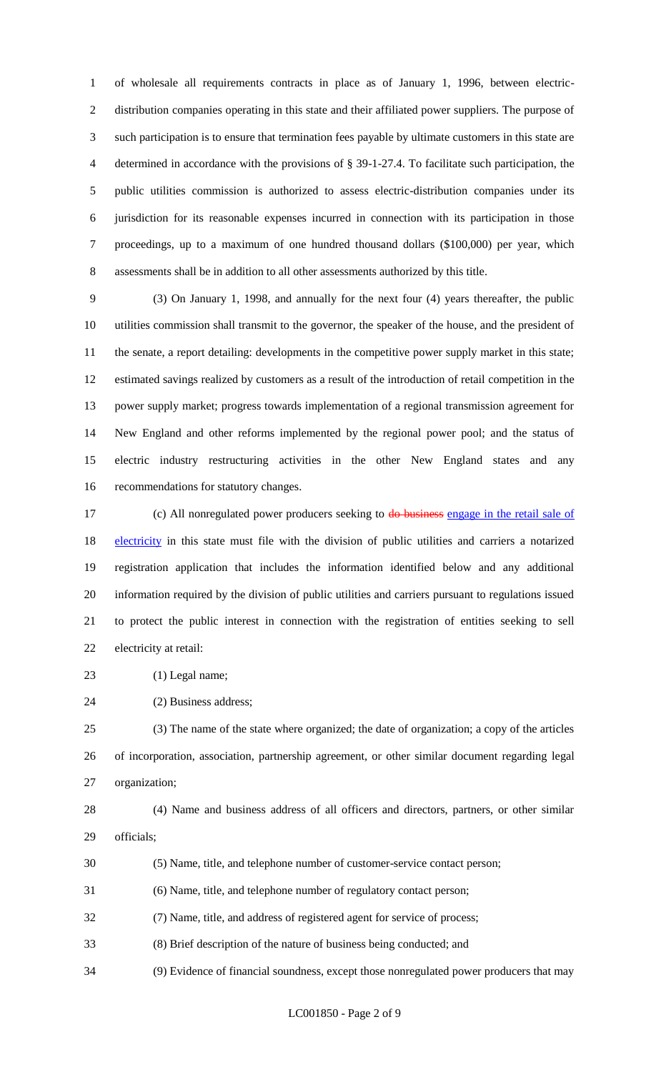of wholesale all requirements contracts in place as of January 1, 1996, between electric- distribution companies operating in this state and their affiliated power suppliers. The purpose of such participation is to ensure that termination fees payable by ultimate customers in this state are determined in accordance with the provisions of § 39-1-27.4. To facilitate such participation, the public utilities commission is authorized to assess electric-distribution companies under its jurisdiction for its reasonable expenses incurred in connection with its participation in those proceedings, up to a maximum of one hundred thousand dollars (\$100,000) per year, which assessments shall be in addition to all other assessments authorized by this title.

 (3) On January 1, 1998, and annually for the next four (4) years thereafter, the public utilities commission shall transmit to the governor, the speaker of the house, and the president of the senate, a report detailing: developments in the competitive power supply market in this state; estimated savings realized by customers as a result of the introduction of retail competition in the power supply market; progress towards implementation of a regional transmission agreement for New England and other reforms implemented by the regional power pool; and the status of electric industry restructuring activities in the other New England states and any recommendations for statutory changes.

17 (c) All nonregulated power producers seeking to do business engage in the retail sale of 18 electricity in this state must file with the division of public utilities and carriers a notarized registration application that includes the information identified below and any additional information required by the division of public utilities and carriers pursuant to regulations issued to protect the public interest in connection with the registration of entities seeking to sell electricity at retail:

23 (1) Legal name;

(2) Business address;

 (3) The name of the state where organized; the date of organization; a copy of the articles of incorporation, association, partnership agreement, or other similar document regarding legal organization;

 (4) Name and business address of all officers and directors, partners, or other similar officials;

- (5) Name, title, and telephone number of customer-service contact person;
- (6) Name, title, and telephone number of regulatory contact person;
- (7) Name, title, and address of registered agent for service of process;
- (8) Brief description of the nature of business being conducted; and
- (9) Evidence of financial soundness, except those nonregulated power producers that may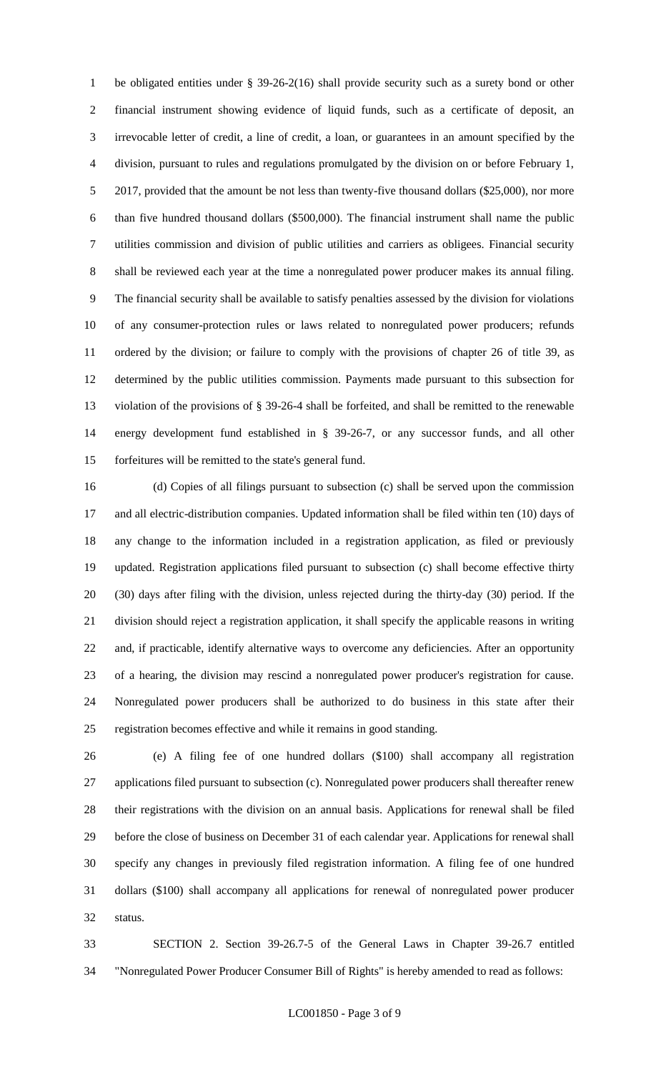be obligated entities under § 39-26-2(16) shall provide security such as a surety bond or other financial instrument showing evidence of liquid funds, such as a certificate of deposit, an irrevocable letter of credit, a line of credit, a loan, or guarantees in an amount specified by the division, pursuant to rules and regulations promulgated by the division on or before February 1, 5 2017, provided that the amount be not less than twenty-five thousand dollars (\$25,000), nor more than five hundred thousand dollars (\$500,000). The financial instrument shall name the public utilities commission and division of public utilities and carriers as obligees. Financial security shall be reviewed each year at the time a nonregulated power producer makes its annual filing. The financial security shall be available to satisfy penalties assessed by the division for violations of any consumer-protection rules or laws related to nonregulated power producers; refunds ordered by the division; or failure to comply with the provisions of chapter 26 of title 39, as determined by the public utilities commission. Payments made pursuant to this subsection for violation of the provisions of § 39-26-4 shall be forfeited, and shall be remitted to the renewable energy development fund established in § 39-26-7, or any successor funds, and all other forfeitures will be remitted to the state's general fund.

 (d) Copies of all filings pursuant to subsection (c) shall be served upon the commission and all electric-distribution companies. Updated information shall be filed within ten (10) days of any change to the information included in a registration application, as filed or previously updated. Registration applications filed pursuant to subsection (c) shall become effective thirty (30) days after filing with the division, unless rejected during the thirty-day (30) period. If the division should reject a registration application, it shall specify the applicable reasons in writing and, if practicable, identify alternative ways to overcome any deficiencies. After an opportunity of a hearing, the division may rescind a nonregulated power producer's registration for cause. Nonregulated power producers shall be authorized to do business in this state after their registration becomes effective and while it remains in good standing.

 (e) A filing fee of one hundred dollars (\$100) shall accompany all registration applications filed pursuant to subsection (c). Nonregulated power producers shall thereafter renew their registrations with the division on an annual basis. Applications for renewal shall be filed before the close of business on December 31 of each calendar year. Applications for renewal shall specify any changes in previously filed registration information. A filing fee of one hundred dollars (\$100) shall accompany all applications for renewal of nonregulated power producer status.

 SECTION 2. Section 39-26.7-5 of the General Laws in Chapter 39-26.7 entitled "Nonregulated Power Producer Consumer Bill of Rights" is hereby amended to read as follows: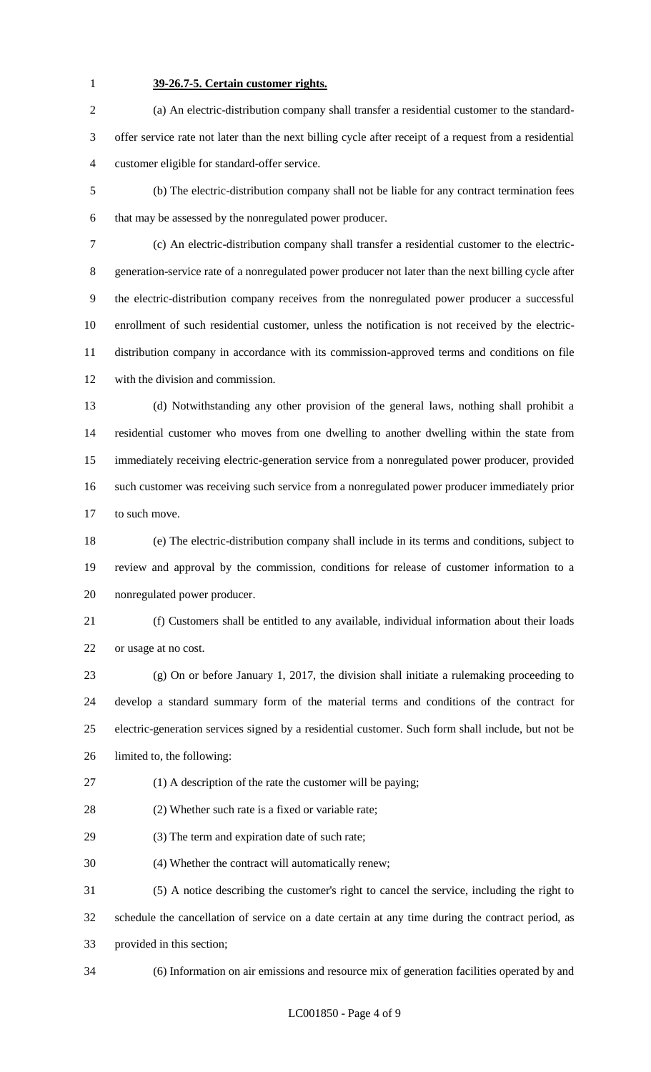### **39-26.7-5. Certain customer rights.**

 (a) An electric-distribution company shall transfer a residential customer to the standard- offer service rate not later than the next billing cycle after receipt of a request from a residential customer eligible for standard-offer service.

 (b) The electric-distribution company shall not be liable for any contract termination fees that may be assessed by the nonregulated power producer.

 (c) An electric-distribution company shall transfer a residential customer to the electric- generation-service rate of a nonregulated power producer not later than the next billing cycle after the electric-distribution company receives from the nonregulated power producer a successful enrollment of such residential customer, unless the notification is not received by the electric- distribution company in accordance with its commission-approved terms and conditions on file with the division and commission.

 (d) Notwithstanding any other provision of the general laws, nothing shall prohibit a residential customer who moves from one dwelling to another dwelling within the state from immediately receiving electric-generation service from a nonregulated power producer, provided such customer was receiving such service from a nonregulated power producer immediately prior 17 to such move.

 (e) The electric-distribution company shall include in its terms and conditions, subject to review and approval by the commission, conditions for release of customer information to a nonregulated power producer.

 (f) Customers shall be entitled to any available, individual information about their loads or usage at no cost.

 (g) On or before January 1, 2017, the division shall initiate a rulemaking proceeding to develop a standard summary form of the material terms and conditions of the contract for electric-generation services signed by a residential customer. Such form shall include, but not be limited to, the following:

(1) A description of the rate the customer will be paying;

(2) Whether such rate is a fixed or variable rate;

(3) The term and expiration date of such rate;

(4) Whether the contract will automatically renew;

(5) A notice describing the customer's right to cancel the service, including the right to

 schedule the cancellation of service on a date certain at any time during the contract period, as provided in this section;

(6) Information on air emissions and resource mix of generation facilities operated by and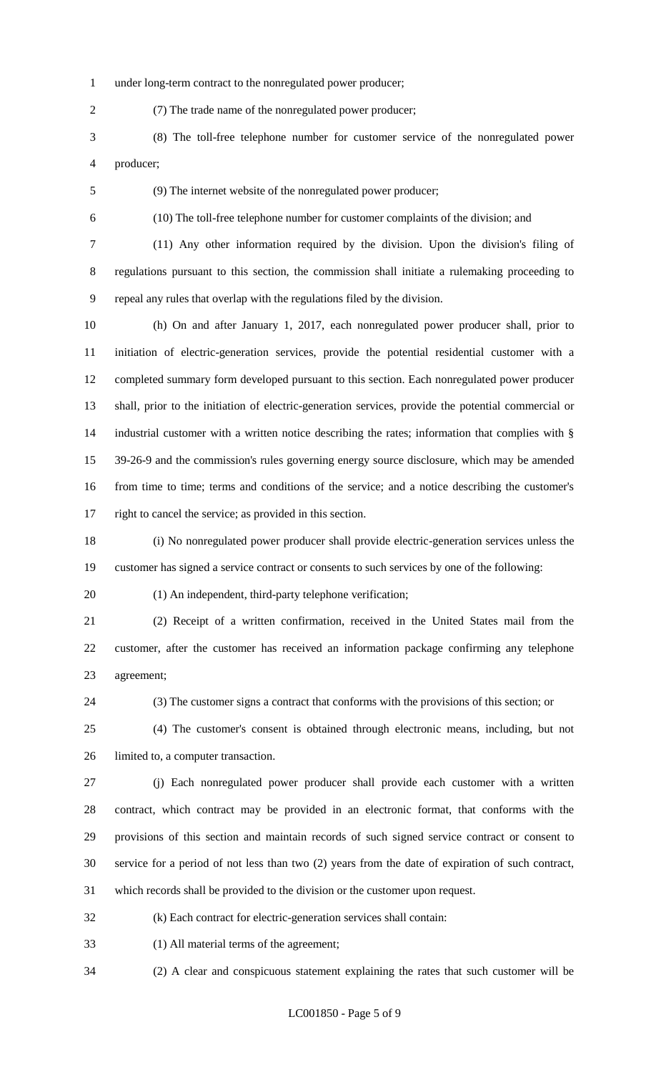under long-term contract to the nonregulated power producer;

(7) The trade name of the nonregulated power producer;

 (8) The toll-free telephone number for customer service of the nonregulated power producer;

(9) The internet website of the nonregulated power producer;

(10) The toll-free telephone number for customer complaints of the division; and

 (11) Any other information required by the division. Upon the division's filing of regulations pursuant to this section, the commission shall initiate a rulemaking proceeding to repeal any rules that overlap with the regulations filed by the division.

 (h) On and after January 1, 2017, each nonregulated power producer shall, prior to initiation of electric-generation services, provide the potential residential customer with a completed summary form developed pursuant to this section. Each nonregulated power producer shall, prior to the initiation of electric-generation services, provide the potential commercial or industrial customer with a written notice describing the rates; information that complies with § 39-26-9 and the commission's rules governing energy source disclosure, which may be amended from time to time; terms and conditions of the service; and a notice describing the customer's right to cancel the service; as provided in this section.

 (i) No nonregulated power producer shall provide electric-generation services unless the customer has signed a service contract or consents to such services by one of the following:

20 (1) An independent, third-party telephone verification;

 (2) Receipt of a written confirmation, received in the United States mail from the customer, after the customer has received an information package confirming any telephone agreement;

(3) The customer signs a contract that conforms with the provisions of this section; or

 (4) The customer's consent is obtained through electronic means, including, but not limited to, a computer transaction.

 (j) Each nonregulated power producer shall provide each customer with a written contract, which contract may be provided in an electronic format, that conforms with the provisions of this section and maintain records of such signed service contract or consent to service for a period of not less than two (2) years from the date of expiration of such contract, which records shall be provided to the division or the customer upon request.

(k) Each contract for electric-generation services shall contain:

(1) All material terms of the agreement;

(2) A clear and conspicuous statement explaining the rates that such customer will be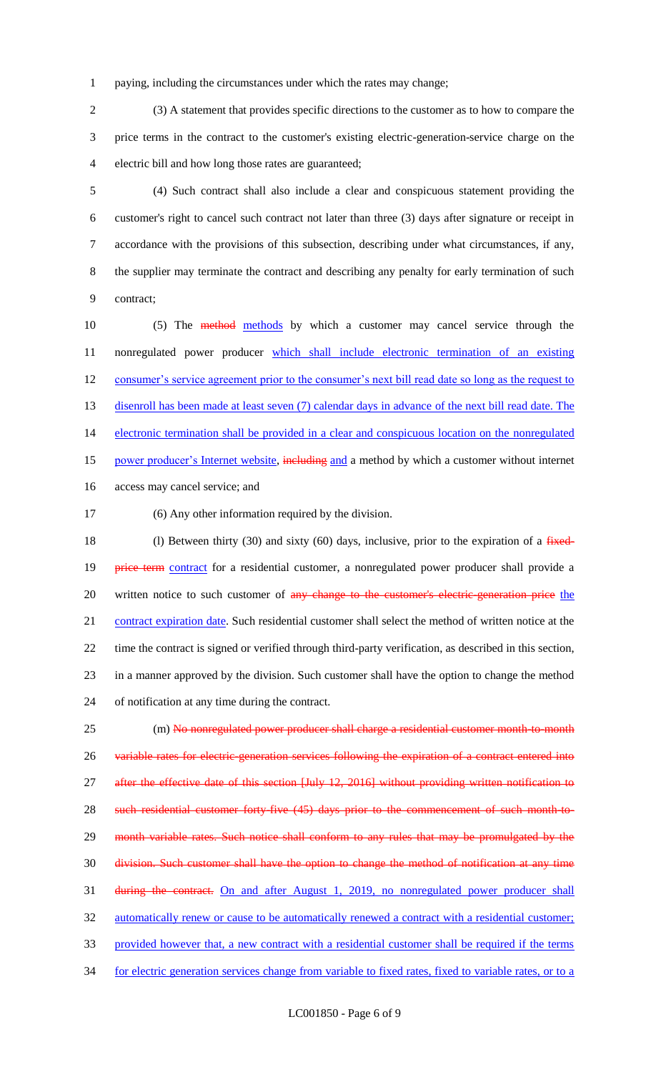1 paying, including the circumstances under which the rates may change;

2 (3) A statement that provides specific directions to the customer as to how to compare the 3 price terms in the contract to the customer's existing electric-generation-service charge on the 4 electric bill and how long those rates are guaranteed;

 (4) Such contract shall also include a clear and conspicuous statement providing the customer's right to cancel such contract not later than three (3) days after signature or receipt in accordance with the provisions of this subsection, describing under what circumstances, if any, the supplier may terminate the contract and describing any penalty for early termination of such contract;

10 (5) The method methods by which a customer may cancel service through the 11 nonregulated power producer which shall include electronic termination of an existing 12 consumer's service agreement prior to the consumer's next bill read date so long as the request to 13 disenroll has been made at least seven (7) calendar days in advance of the next bill read date. The 14 electronic termination shall be provided in a clear and conspicuous location on the nonregulated 15 power producer's Internet website, including and a method by which a customer without internet 16 access may cancel service; and

17 (6) Any other information required by the division.

18 (l) Between thirty (30) and sixty (60) days, inclusive, prior to the expiration of a  $f$ ixed-19 **price term** contract for a residential customer, a nonregulated power producer shall provide a 20 written notice to such customer of any change to the customer's electric-generation price the 21 contract expiration date. Such residential customer shall select the method of written notice at the 22 time the contract is signed or verified through third-party verification, as described in this section, 23 in a manner approved by the division. Such customer shall have the option to change the method 24 of notification at any time during the contract.

25 (m) No nonregulated power producer shall charge a residential customer month-to-month 26 variable rates for electric-generation services following the expiration of a contract entered into 27 after the effective date of this section [July 12, 2016] without providing written notification to 28 such residential customer forty-five (45) days prior to the commencement of such month-to-29 month variable rates. Such notice shall conform to any rules that may be promulgated by the 30 division. Such customer shall have the option to change the method of notification at any time 31 during the contract. On and after August 1, 2019, no nonregulated power producer shall 32 automatically renew or cause to be automatically renewed a contract with a residential customer; 33 provided however that, a new contract with a residential customer shall be required if the terms 34 for electric generation services change from variable to fixed rates, fixed to variable rates, or to a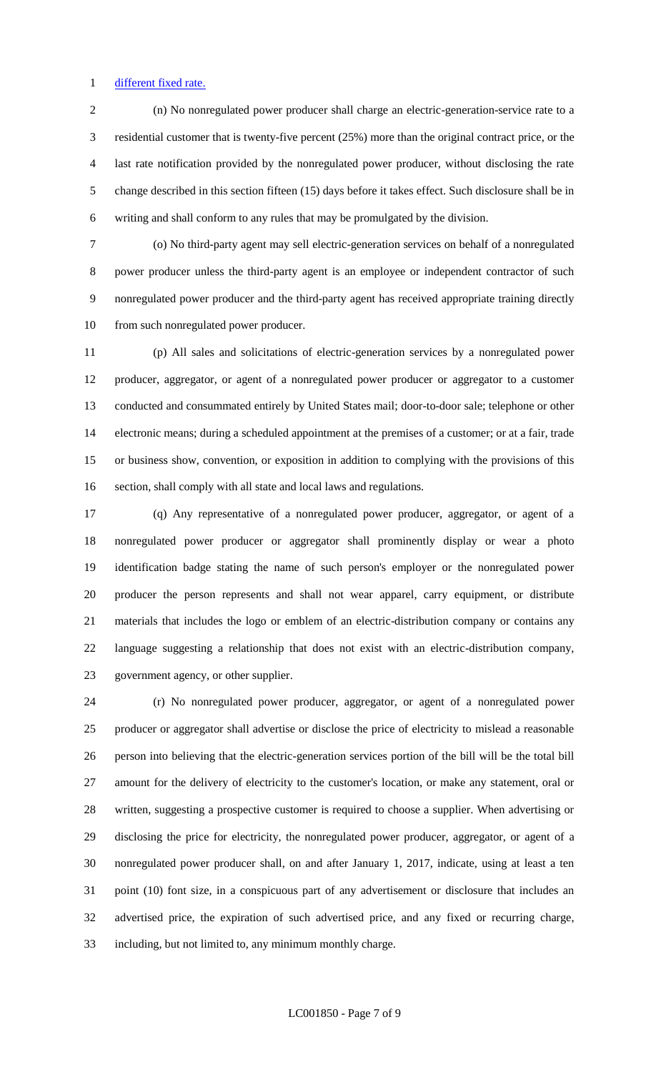#### 1 different fixed rate.

 (n) No nonregulated power producer shall charge an electric-generation-service rate to a residential customer that is twenty-five percent (25%) more than the original contract price, or the last rate notification provided by the nonregulated power producer, without disclosing the rate change described in this section fifteen (15) days before it takes effect. Such disclosure shall be in writing and shall conform to any rules that may be promulgated by the division.

 (o) No third-party agent may sell electric-generation services on behalf of a nonregulated power producer unless the third-party agent is an employee or independent contractor of such nonregulated power producer and the third-party agent has received appropriate training directly from such nonregulated power producer.

 (p) All sales and solicitations of electric-generation services by a nonregulated power producer, aggregator, or agent of a nonregulated power producer or aggregator to a customer conducted and consummated entirely by United States mail; door-to-door sale; telephone or other electronic means; during a scheduled appointment at the premises of a customer; or at a fair, trade or business show, convention, or exposition in addition to complying with the provisions of this section, shall comply with all state and local laws and regulations.

 (q) Any representative of a nonregulated power producer, aggregator, or agent of a nonregulated power producer or aggregator shall prominently display or wear a photo identification badge stating the name of such person's employer or the nonregulated power producer the person represents and shall not wear apparel, carry equipment, or distribute materials that includes the logo or emblem of an electric-distribution company or contains any language suggesting a relationship that does not exist with an electric-distribution company, government agency, or other supplier.

 (r) No nonregulated power producer, aggregator, or agent of a nonregulated power producer or aggregator shall advertise or disclose the price of electricity to mislead a reasonable person into believing that the electric-generation services portion of the bill will be the total bill amount for the delivery of electricity to the customer's location, or make any statement, oral or written, suggesting a prospective customer is required to choose a supplier. When advertising or disclosing the price for electricity, the nonregulated power producer, aggregator, or agent of a nonregulated power producer shall, on and after January 1, 2017, indicate, using at least a ten point (10) font size, in a conspicuous part of any advertisement or disclosure that includes an advertised price, the expiration of such advertised price, and any fixed or recurring charge, including, but not limited to, any minimum monthly charge.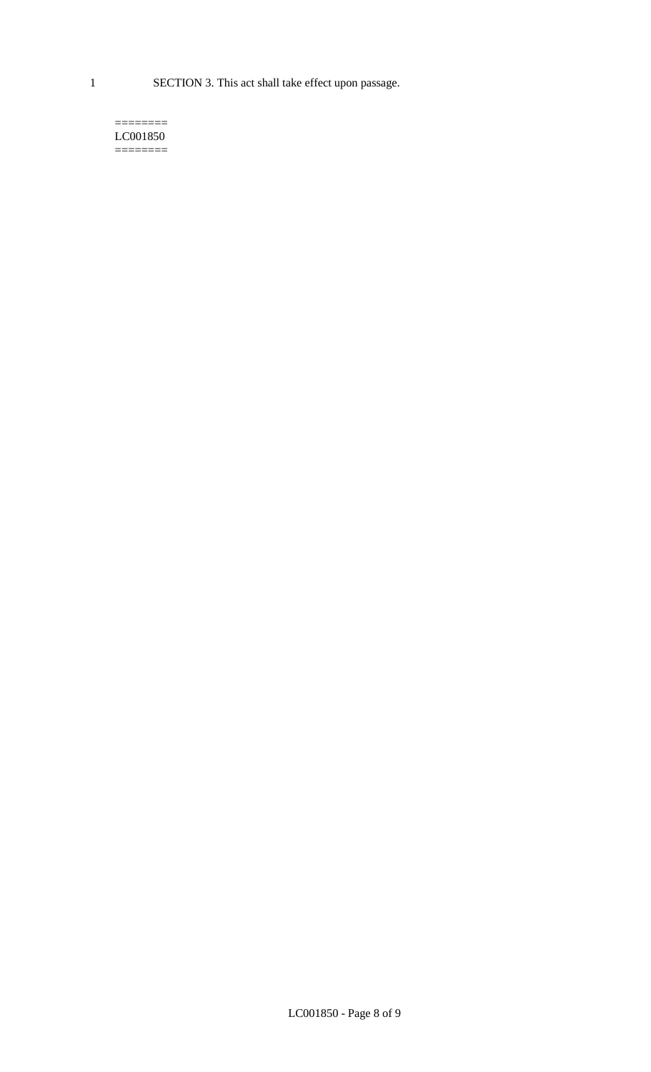1 SECTION 3. This act shall take effect upon passage.

#### $=$ LC001850  $=$